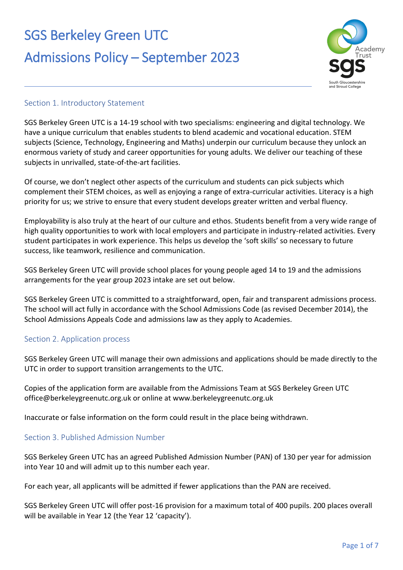

#### Section 1. Introductory Statement

SGS Berkeley Green UTC is a 14-19 school with two specialisms: engineering and digital technology. We have a unique curriculum that enables students to blend academic and vocational education. STEM subjects (Science, Technology, Engineering and Maths) underpin our curriculum because they unlock an enormous variety of study and career opportunities for young adults. We deliver our teaching of these subjects in unrivalled, state-of-the-art facilities.

Of course, we don't neglect other aspects of the curriculum and students can pick subjects which complement their STEM choices, as well as enjoying a range of extra-curricular activities. Literacy is a high priority for us; we strive to ensure that every student develops greater written and verbal fluency.

Employability is also truly at the heart of our culture and ethos. Students benefit from a very wide range of high quality opportunities to work with local employers and participate in industry-related activities. Every student participates in work experience. This helps us develop the 'soft skills' so necessary to future success, like teamwork, resilience and communication.

SGS Berkeley Green UTC will provide school places for young people aged 14 to 19 and the admissions arrangements for the year group 2023 intake are set out below.

SGS Berkeley Green UTC is committed to a straightforward, open, fair and transparent admissions process. The school will act fully in accordance with the School Admissions Code (as revised December 2014), the School Admissions Appeals Code and admissions law as they apply to Academies.

### Section 2. Application process

SGS Berkeley Green UTC will manage their own admissions and applications should be made directly to the UTC in order to support transition arrangements to the UTC.

Copies of the application form are available from the Admissions Team at SGS Berkeley Green UTC office@berkeleygreenutc.org.uk or online at www.berkeleygreenutc.org.uk

Inaccurate or false information on the form could result in the place being withdrawn.

### Section 3. Published Admission Number

SGS Berkeley Green UTC has an agreed Published Admission Number (PAN) of 130 per year for admission into Year 10 and will admit up to this number each year.

For each year, all applicants will be admitted if fewer applications than the PAN are received.

SGS Berkeley Green UTC will offer post-16 provision for a maximum total of 400 pupils. 200 places overall will be available in Year 12 (the Year 12 'capacity').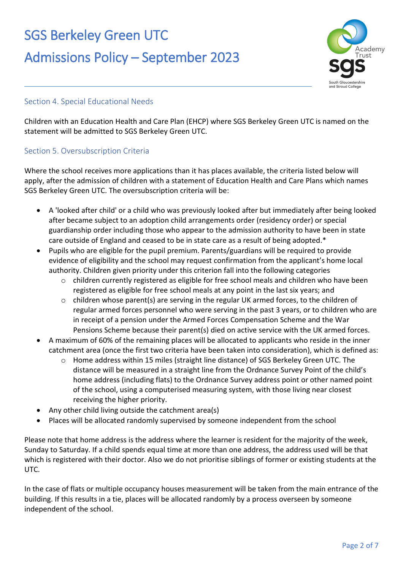## SGS Berkeley Green UTC

## Admissions Policy – September 2023



#### Section 4. Special Educational Needs

Children with an Education Health and Care Plan (EHCP) where SGS Berkeley Green UTC is named on the statement will be admitted to SGS Berkeley Green UTC.

#### Section 5. Oversubscription Criteria

Where the school receives more applications than it has places available, the criteria listed below will apply, after the admission of children with a statement of Education Health and Care Plans which names SGS Berkeley Green UTC. The oversubscription criteria will be:

- A 'looked after child' or a child who was previously looked after but immediately after being looked after became subject to an adoption child arrangements order (residency order) or special guardianship order including those who appear to the admission authority to have been in state care outside of England and ceased to be in state care as a result of being adopted.\*
- Pupils who are eligible for the pupil premium. Parents/guardians will be required to provide evidence of eligibility and the school may request confirmation from the applicant's home local authority. Children given priority under this criterion fall into the following categories
	- $\circ$  children currently registered as eligible for free school meals and children who have been registered as eligible for free school meals at any point in the last six years; and
	- $\circ$  children whose parent(s) are serving in the regular UK armed forces, to the children of regular armed forces personnel who were serving in the past 3 years, or to children who are in receipt of a pension under the Armed Forces Compensation Scheme and the War Pensions Scheme because their parent(s) died on active service with the UK armed forces.
- A maximum of 60% of the remaining places will be allocated to applicants who reside in the inner catchment area (once the first two criteria have been taken into consideration), which is defined as:
	- o Home address within 15 miles (straight line distance) of SGS Berkeley Green UTC. The distance will be measured in a straight line from the Ordnance Survey Point of the child's home address (including flats) to the Ordnance Survey address point or other named point of the school, using a computerised measuring system, with those living near closest receiving the higher priority.
- Any other child living outside the catchment area(s)
- Places will be allocated randomly supervised by someone independent from the school

Please note that home address is the address where the learner is resident for the majority of the week, Sunday to Saturday. If a child spends equal time at more than one address, the address used will be that which is registered with their doctor. Also we do not prioritise siblings of former or existing students at the UTC.

In the case of flats or multiple occupancy houses measurement will be taken from the main entrance of the building. If this results in a tie, places will be allocated randomly by a process overseen by someone independent of the school.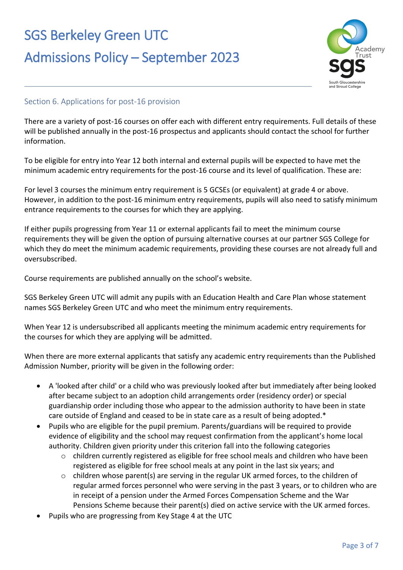

### Section 6. Applications for post-16 provision

There are a variety of post-16 courses on offer each with different entry requirements. Full details of these will be published annually in the post-16 prospectus and applicants should contact the school for further information.

To be eligible for entry into Year 12 both internal and external pupils will be expected to have met the minimum academic entry requirements for the post-16 course and its level of qualification. These are:

For level 3 courses the minimum entry requirement is 5 GCSEs (or equivalent) at grade 4 or above. However, in addition to the post-16 minimum entry requirements, pupils will also need to satisfy minimum entrance requirements to the courses for which they are applying.

If either pupils progressing from Year 11 or external applicants fail to meet the minimum course requirements they will be given the option of pursuing alternative courses at our partner SGS College for which they do meet the minimum academic requirements, providing these courses are not already full and oversubscribed.

Course requirements are published annually on the school's website.

SGS Berkeley Green UTC will admit any pupils with an Education Health and Care Plan whose statement names SGS Berkeley Green UTC and who meet the minimum entry requirements.

When Year 12 is undersubscribed all applicants meeting the minimum academic entry requirements for the courses for which they are applying will be admitted.

When there are more external applicants that satisfy any academic entry requirements than the Published Admission Number, priority will be given in the following order:

- A 'looked after child' or a child who was previously looked after but immediately after being looked after became subject to an adoption child arrangements order (residency order) or special guardianship order including those who appear to the admission authority to have been in state care outside of England and ceased to be in state care as a result of being adopted.\*
- Pupils who are eligible for the pupil premium. Parents/guardians will be required to provide evidence of eligibility and the school may request confirmation from the applicant's home local authority. Children given priority under this criterion fall into the following categories
	- o children currently registered as eligible for free school meals and children who have been registered as eligible for free school meals at any point in the last six years; and
	- $\circ$  children whose parent(s) are serving in the regular UK armed forces, to the children of regular armed forces personnel who were serving in the past 3 years, or to children who are in receipt of a pension under the Armed Forces Compensation Scheme and the War Pensions Scheme because their parent(s) died on active service with the UK armed forces.
- Pupils who are progressing from Key Stage 4 at the UTC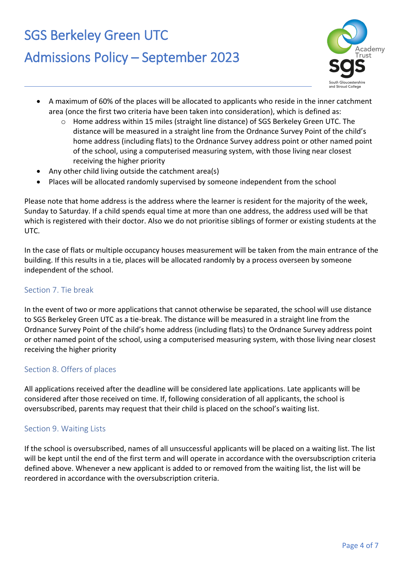## SGS Berkeley Green UTC

## Admissions Policy – September 2023



- A maximum of 60% of the places will be allocated to applicants who reside in the inner catchment area (once the first two criteria have been taken into consideration), which is defined as:
	- o Home address within 15 miles (straight line distance) of SGS Berkeley Green UTC. The distance will be measured in a straight line from the Ordnance Survey Point of the child's home address (including flats) to the Ordnance Survey address point or other named point of the school, using a computerised measuring system, with those living near closest receiving the higher priority
- Any other child living outside the catchment area(s)
- Places will be allocated randomly supervised by someone independent from the school

Please note that home address is the address where the learner is resident for the majority of the week, Sunday to Saturday. If a child spends equal time at more than one address, the address used will be that which is registered with their doctor. Also we do not prioritise siblings of former or existing students at the UTC.

In the case of flats or multiple occupancy houses measurement will be taken from the main entrance of the building. If this results in a tie, places will be allocated randomly by a process overseen by someone independent of the school.

### Section 7. Tie break

In the event of two or more applications that cannot otherwise be separated, the school will use distance to SGS Berkeley Green UTC as a tie-break. The distance will be measured in a straight line from the Ordnance Survey Point of the child's home address (including flats) to the Ordnance Survey address point or other named point of the school, using a computerised measuring system, with those living near closest receiving the higher priority

#### Section 8. Offers of places

All applications received after the deadline will be considered late applications. Late applicants will be considered after those received on time. If, following consideration of all applicants, the school is oversubscribed, parents may request that their child is placed on the school's waiting list.

#### Section 9. Waiting Lists

If the school is oversubscribed, names of all unsuccessful applicants will be placed on a waiting list. The list will be kept until the end of the first term and will operate in accordance with the oversubscription criteria defined above. Whenever a new applicant is added to or removed from the waiting list, the list will be reordered in accordance with the oversubscription criteria.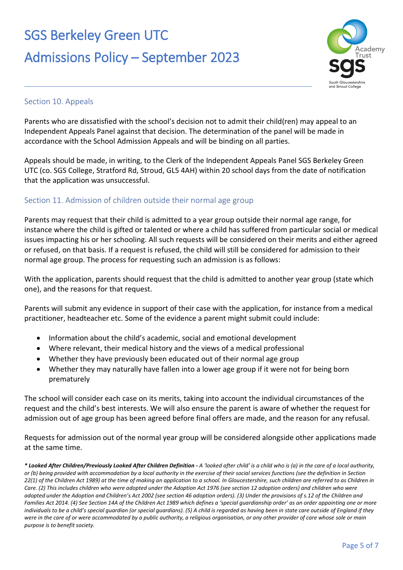

### Section 10. Appeals

Parents who are dissatisfied with the school's decision not to admit their child(ren) may appeal to an Independent Appeals Panel against that decision. The determination of the panel will be made in accordance with the School Admission Appeals and will be binding on all parties.

Appeals should be made, in writing, to the Clerk of the Independent Appeals Panel SGS Berkeley Green UTC (co. SGS College, Stratford Rd, Stroud, GL5 4AH) within 20 school days from the date of notification that the application was unsuccessful.

### Section 11. Admission of children outside their normal age group

Parents may request that their child is admitted to a year group outside their normal age range, for instance where the child is gifted or talented or where a child has suffered from particular social or medical issues impacting his or her schooling. All such requests will be considered on their merits and either agreed or refused, on that basis. If a request is refused, the child will still be considered for admission to their normal age group. The process for requesting such an admission is as follows:

With the application, parents should request that the child is admitted to another year group (state which one), and the reasons for that request.

Parents will submit any evidence in support of their case with the application, for instance from a medical practitioner, headteacher etc. Some of the evidence a parent might submit could include:

- Information about the child's academic, social and emotional development
- Where relevant, their medical history and the views of a medical professional
- Whether they have previously been educated out of their normal age group
- Whether they may naturally have fallen into a lower age group if it were not for being born prematurely

The school will consider each case on its merits, taking into account the individual circumstances of the request and the child's best interests. We will also ensure the parent is aware of whether the request for admission out of age group has been agreed before final offers are made, and the reason for any refusal.

Requests for admission out of the normal year group will be considered alongside other applications made at the same time.

*\* Looked After Children/Previously Looked After Children Definition - A 'looked after child' is a child who is (a) in the care of a local authority, or (b) being provided with accommodation by a local authority in the exercise of their social services functions (see the definition in Section 22(1) of the Children Act 1989) at the time of making an application to a school. In Gloucestershire, such children are referred to as Children in Care. (2) This includes children who were adopted under the Adoption Act 1976 (see section 12 adoption orders) and children who were*  adopted under the Adoption and Children's Act 2002 (see section 46 adoption orders). (3) Under the provisions of s.12 of the Children and *Families Act 2014. (4) See Section 14A of the Children Act 1989 which defines a 'special guardianship order' as an order appointing one or more individuals to be a child's special guardian (or special guardians). (5) A child is regarded as having been in state care outside of England if they were in the care of or were accommodated by a public authority, a religious organisation, or any other provider of care whose sole or main purpose is to benefit society*.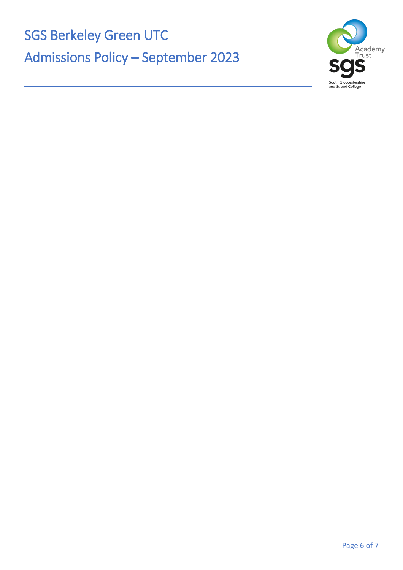